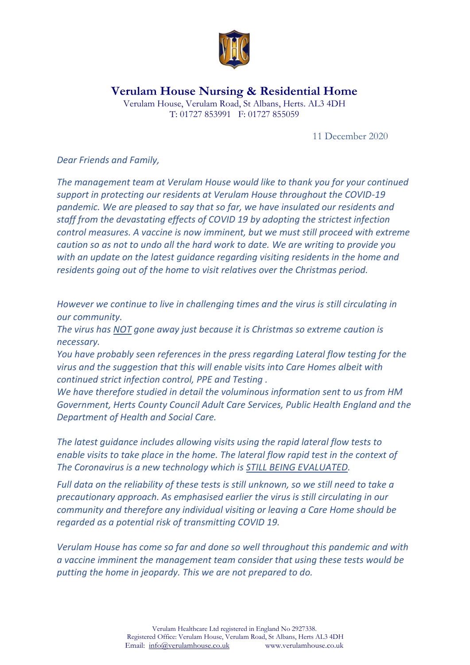

**Verulam House Nursing & Residential Home**

Verulam House, Verulam Road, St Albans, Herts. AL3 4DH T: 01727 853991 F: 01727 855059

11 December 2020

*Dear Friends and Family,*

*The management team at Verulam House would like to thank you for your continued support in protecting our residents at Verulam House throughout the COVID-19 pandemic. We are pleased to say that so far, we have insulated our residents and staff from the devastating effects of COVID 19 by adopting the strictest infection control measures. A vaccine is now imminent, but we must still proceed with extreme caution so as not to undo all the hard work to date. We are writing to provide you with an update on the latest guidance regarding visiting residents in the home and residents going out of the home to visit relatives over the Christmas period.* 

*However we continue to live in challenging times and the virus is still circulating in our community.*

*The virus has NOT gone away just because it is Christmas so extreme caution is necessary.*

*You have probably seen references in the press regarding Lateral flow testing for the virus and the suggestion that this will enable visits into Care Homes albeit with continued strict infection control, PPE and Testing .*

*We have therefore studied in detail the voluminous information sent to us from HM Government, Herts County Council Adult Care Services, Public Health England and the Department of Health and Social Care.*

*The latest guidance includes allowing visits using the rapid lateral flow tests to enable visits to take place in the home. The lateral flow rapid test in the context of The Coronavirus is a new technology which is STILL BEING EVALUATED.*

*Full data on the reliability of these tests is still unknown, so we still need to take a precautionary approach. As emphasised earlier the virus is still circulating in our community and therefore any individual visiting or leaving a Care Home should be regarded as a potential risk of transmitting COVID 19.*

*Verulam House has come so far and done so well throughout this pandemic and with a vaccine imminent the management team consider that using these tests would be putting the home in jeopardy. This we are not prepared to do.*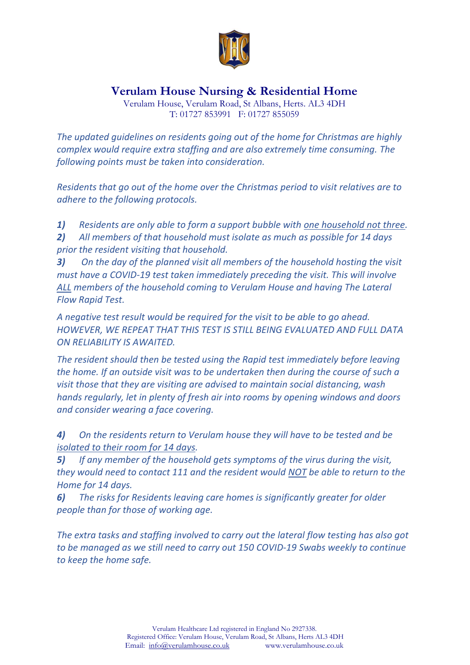

**Verulam House Nursing & Residential Home**

Verulam House, Verulam Road, St Albans, Herts. AL3 4DH T: 01727 853991 F: 01727 855059

*The updated guidelines on residents going out of the home for Christmas are highly complex would require extra staffing and are also extremely time consuming. The following points must be taken into consideration.*

*Residents that go out of the home over the Christmas period to visit relatives are to adhere to the following protocols.*

*1) Residents are only able to form a support bubble with one household not three.*

*2) All members of that household must isolate as much as possible for 14 days prior the resident visiting that household.*

*3) On the day of the planned visit all members of the household hosting the visit must have a COVID-19 test taken immediately preceding the visit. This will involve ALL members of the household coming to Verulam House and having The Lateral Flow Rapid Test.* 

*A negative test result would be required for the visit to be able to go ahead. HOWEVER, WE REPEAT THAT THIS TEST IS STILL BEING EVALUATED AND FULL DATA ON RELIABILITY IS AWAITED.*

*The resident should then be tested using the Rapid test immediately before leaving the home. If an outside visit was to be undertaken then during the course of such a visit those that they are visiting are advised to maintain social distancing, wash hands regularly, let in plenty of fresh air into rooms by opening windows and doors and consider wearing a face covering.*

*4) On the residents return to Verulam house they will have to be tested and be isolated to their room for 14 days.*

*5) If any member of the household gets symptoms of the virus during the visit, they would need to contact 111 and the resident would NOT be able to return to the Home for 14 days.*

*6) The risks for Residents leaving care homes is significantly greater for older people than for those of working age.*

*The extra tasks and staffing involved to carry out the lateral flow testing has also got to be managed as we still need to carry out 150 COVID-19 Swabs weekly to continue to keep the home safe.*